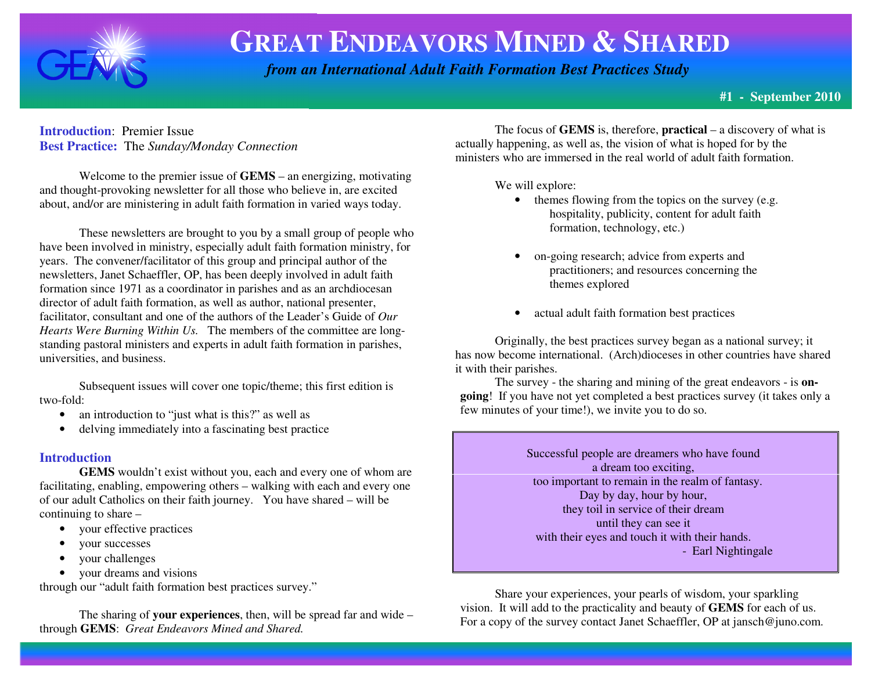

# **GREAT ENDEAVORS MINED &SHARED**

 *from an International Adult Faith Formation Best Practices Study*

### **Introduction**: Premier Issue **Best Practice:** The *Sunday/Monday Connection*

 Welcome to the premier issue of **GEMS** – an energizing, motivating and thought-provoking newsletter for all those who believe in, are excited about, and/or are ministering in adult faith formation in varied ways today.

These newsletters are brought to you by a small group of people who have been involved in ministry, especially adult faith formation ministry, for years. The convener/facilitator of this group and principal author of the newsletters, Janet Schaeffler, OP, has been deeply involved in adult faith formation since 1971 as a coordinator in parishes and as an archdiocesan director of adult faith formation, as well as author, national presenter, facilitator, consultant and one of the authors of the Leader's Guide of *Our Hearts Were Burning Within Us.* The members of the committee are longstanding pastoral ministers and experts in adult faith formation in parishes, universities, and business.

 Subsequent issues will cover one topic/theme; this first edition is two-fold:

- •an introduction to "just what is this?" as well as
- $\bullet$ delving immediately into a fascinating best practice

## **Introduction**

 **GEMS** wouldn't exist without you, each and every one of whom are facilitating, enabling, empowering others – walking with each and every one of our adult Catholics on their faith journey. You have shared – will be continuing to share –

- your effective practices
- •your successes
- •your challenges
- your dreams and visions

through our "adult faith formation best practices survey."

 The sharing of **your experiences**, then, will be spread far and wide – through **GEMS**: *Great Endeavors Mined and Shared.* 

 The focus of **GEMS** is, therefore, **practical** – a discovery of what is actually happening, as well as, the vision of what is hoped for by the ministers who are immersed in the real world of adult faith formation.

We will explore:

- themes flowing from the topics on the survey (e.g. hospitality, publicity, content for adult faith formation, technology, etc.)
- • on-going research; advice from experts and practitioners; and resources concerning the themes explored
- •actual adult faith formation best practices

 Originally, the best practices survey began as a national survey; it has now become international. (Arch)dioceses in other countries have shared it with their parishes.

 The survey - the sharing and mining of the great endeavors - is **ongoing**! If you have not yet completed a best practices survey (it takes only a few minutes of your time!), we invite you to do so.

> Successful people are dreamers who have found a dream too exciting, too important to remain in the realm of fantasy.Day by day, hour by hour, they toil in service of their dream until they can see it with their eyes and touch it with their hands. - Earl Nightingale

Share your experiences, your pearls of wisdom, your sparkling vision. It will add to the practicality and beauty of **GEMS** for each of us. For a copy of the survey contact Janet Schaeffler, OP at jansch@juno.com.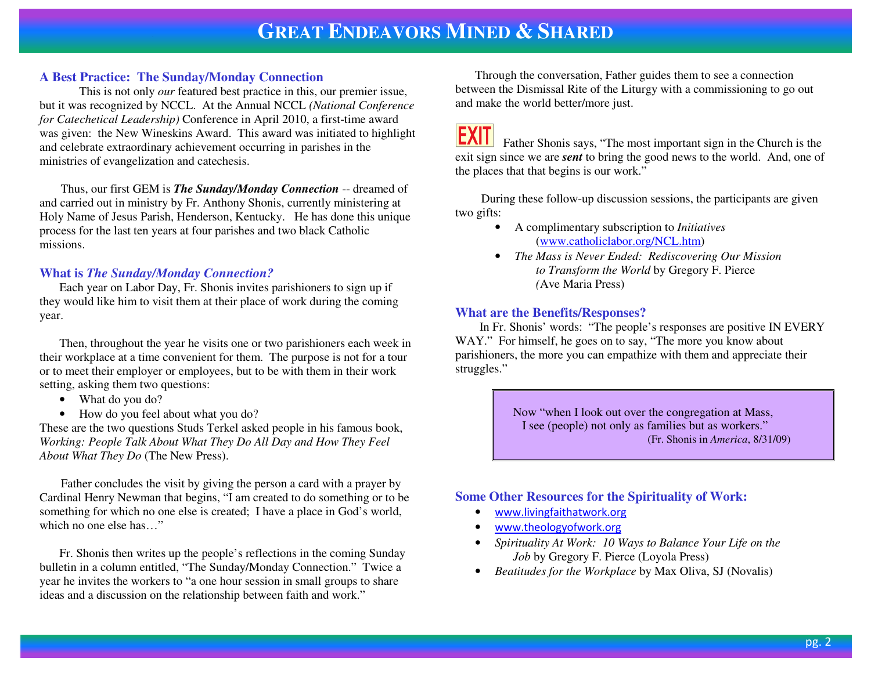#### **A Best Practice: The Sunday/Monday Connection**

 This is not only *our* featured best practice in this, our premier issue, but it was recognized by NCCL. At the Annual NCCL *(National Conference for Catechetical Leadership)* Conference in April 2010, a first-time award was given: the New Wineskins Award. This award was initiated to highlight and celebrate extraordinary achievement occurring in parishes in the ministries of evangelization and catechesis.

 Thus, our first GEM is *The Sunday/Monday Connection* -- dreamed of and carried out in ministry by Fr. Anthony Shonis, currently ministering at Holy Name of Jesus Parish, Henderson, Kentucky. He has done this unique process for the last ten years at four parishes and two black Catholic missions.

#### **What is** *The Sunday/Monday Connection?*

 Each year on Labor Day, Fr. Shonis invites parishioners to sign up if they would like him to visit them at their place of work during the coming year.

Then, throughout the year he visits one or two parishioners each week in their workplace at a time convenient for them. The purpose is not for a tour or to meet their employer or employees, but to be with them in their work setting, asking them two questions:

- What do you do?
- How do you feel about what you do?

These are the two questions Studs Terkel asked people in his famous book, *Working: People Talk About What They Do All Day and How They Feel About What They Do* (The New Press).

 Father concludes the visit by giving the person a card with a prayer by Cardinal Henry Newman that begins, "I am created to do something or to be something for which no one else is created; I have a place in God's world, which no one else has…"

Fr. Shonis then writes up the people's reflections in the coming Sunday bulletin in a column entitled, "The Sunday/Monday Connection." Twice a year he invites the workers to "a one hour session in small groups to share ideas and a discussion on the relationship between faith and work."

Through the conversation, Father guides them to see a connection between the Dismissal Rite of the Liturgy with a commissioning to go out and make the world better/more just.

 Father Shonis says, "The most important sign in the Church is the exit sign since we are *sent* to bring the good news to the world. And, one of the places that that begins is our work."

 During these follow-up discussion sessions, the participants are given two gifts:

- A complimentary subscription to *Initiatives*  (www.catholiclabor.org/NCL.htm)
- *The Mass is Never Ended: Rediscovering Our Mission to Transform the World* by Gregory F. Pierce  *(*Ave Maria Press)

#### **What are the Benefits/Responses?**

 In Fr. Shonis' words: "The people's responses are positive IN EVERY WAY." For himself, he goes on to say, "The more you know about parishioners, the more you can empathize with them and appreciate their struggles."

> Now "when I look out over the congregation at Mass, I see (people) not only as families but as workers." (Fr. Shonis in *America*, 8/31/09)

#### **Some Other Resources for the Spirituality of Work:**

- www.livingfaithatwork.org
- www.theologyofwork.org
- *Spirituality At Work: 10 Ways to Balance Your Life on the*  • *Job* by Gregory F. Pierce (Loyola Press)
- *Beatitudes for the Workplace* by Max Oliva, SJ (Novalis) •